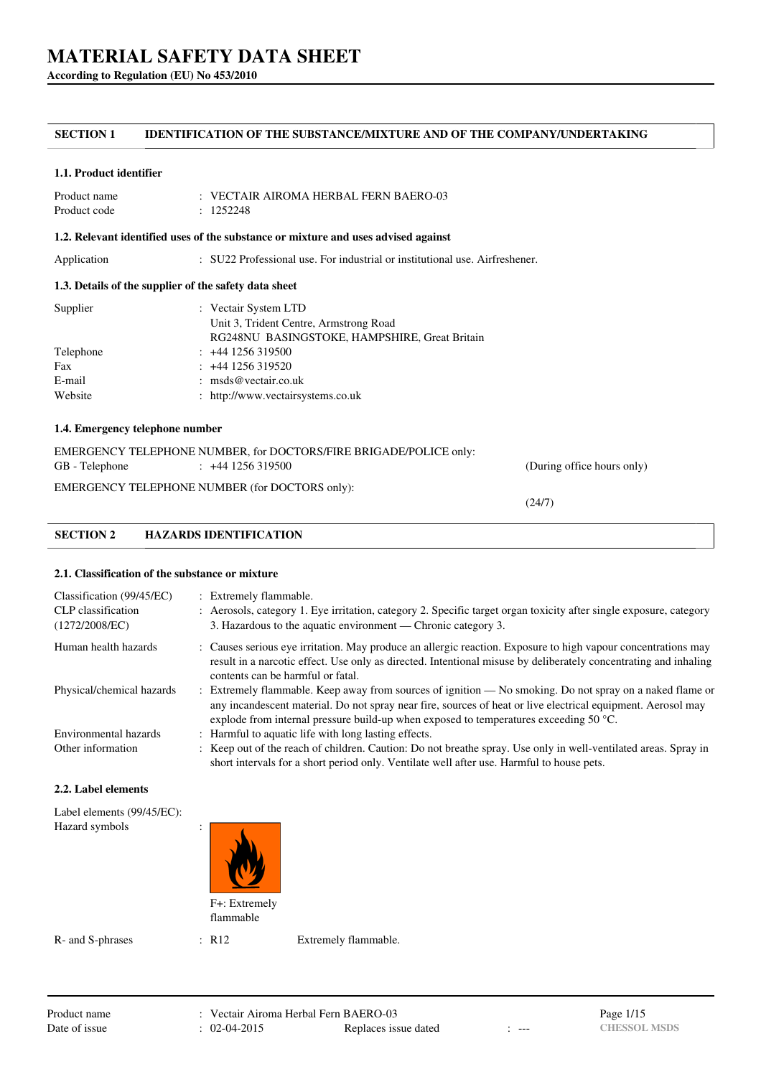**According to Regulation (EU) No 453/2010**

# **SECTION 1 IDENTIFICATION OF THE SUBSTANCE/MIXTURE AND OF THE COMPANY/UNDERTAKING**

### **1.1. Product identifier**

| Product name | $\therefore$ VECTAIR AIROMA HERBAL FERN BAERO-03 |
|--------------|--------------------------------------------------|
| Product code | : 1252248                                        |

### **1.2. Relevant identified uses of the substance or mixture and uses advised against**

Application : SU22 Professional use. For industrial or institutional use. Airfreshener.

## **1.3. Details of the supplier of the safety data sheet**

| : Vectair System LTD                          |
|-----------------------------------------------|
| Unit 3, Trident Centre, Armstrong Road        |
| RG248NU BASINGSTOKE, HAMPSHIRE, Great Britain |
| $: +441256319500$                             |
| $: +44$ 1256 319520                           |
| : $\text{msds@vector}$ .                      |
| : http://www.vectairsystems.co.uk             |
|                                               |

# **1.4. Emergency telephone number**

|                | EMERGENCY TELEPHONE NUMBER, for DOCTORS/FIRE BRIGADE/POLICE only: |                            |
|----------------|-------------------------------------------------------------------|----------------------------|
| GB - Telephone | $\div$ +44 1256 319500                                            | (During office hours only) |
|                | EMERGENCY TELEPHONE NUMBER (for DOCTORS only):                    |                            |

(24/7)

# **SECTION 2 HAZARDS IDENTIFICATION**

## **2.1. Classification of the substance or mixture**

| Classification (99/45/EC)<br>CLP classification<br>(1272/2008/EC) | : Extremely flammable.<br>: Aerosols, category 1. Eye irritation, category 2. Specific target organ toxicity after single exposure, category<br>3. Hazardous to the aquatic environment — Chronic category 3.                                                                                                               |
|-------------------------------------------------------------------|-----------------------------------------------------------------------------------------------------------------------------------------------------------------------------------------------------------------------------------------------------------------------------------------------------------------------------|
| Human health hazards                                              | : Causes serious eye irritation. May produce an allergic reaction. Exposure to high vapour concentrations may<br>result in a narcotic effect. Use only as directed. Intentional misuse by deliberately concentrating and inhaling<br>contents can be harmful or fatal.                                                      |
| Physical/chemical hazards                                         | : Extremely flammable. Keep away from sources of ignition — No smoking. Do not spray on a naked flame or<br>any incandescent material. Do not spray near fire, sources of heat or live electrical equipment. Aerosol may<br>explode from internal pressure build-up when exposed to temperatures exceeding 50 $^{\circ}$ C. |
| Environmental hazards                                             | : Harmful to aquatic life with long lasting effects.                                                                                                                                                                                                                                                                        |
| Other information                                                 | : Keep out of the reach of children. Caution: Do not breathe spray. Use only in well-ventilated areas. Spray in<br>short intervals for a short period only. Ventilate well after use. Harmful to house pets.                                                                                                                |

### **2.2. Label elements**

| Label elements (99/45/EC): |                |  |
|----------------------------|----------------|--|
| Hazard symbols             | $\ddot{\cdot}$ |  |

F+: Extremely flammable

R- and S-phrases : R12 Extremely flammable.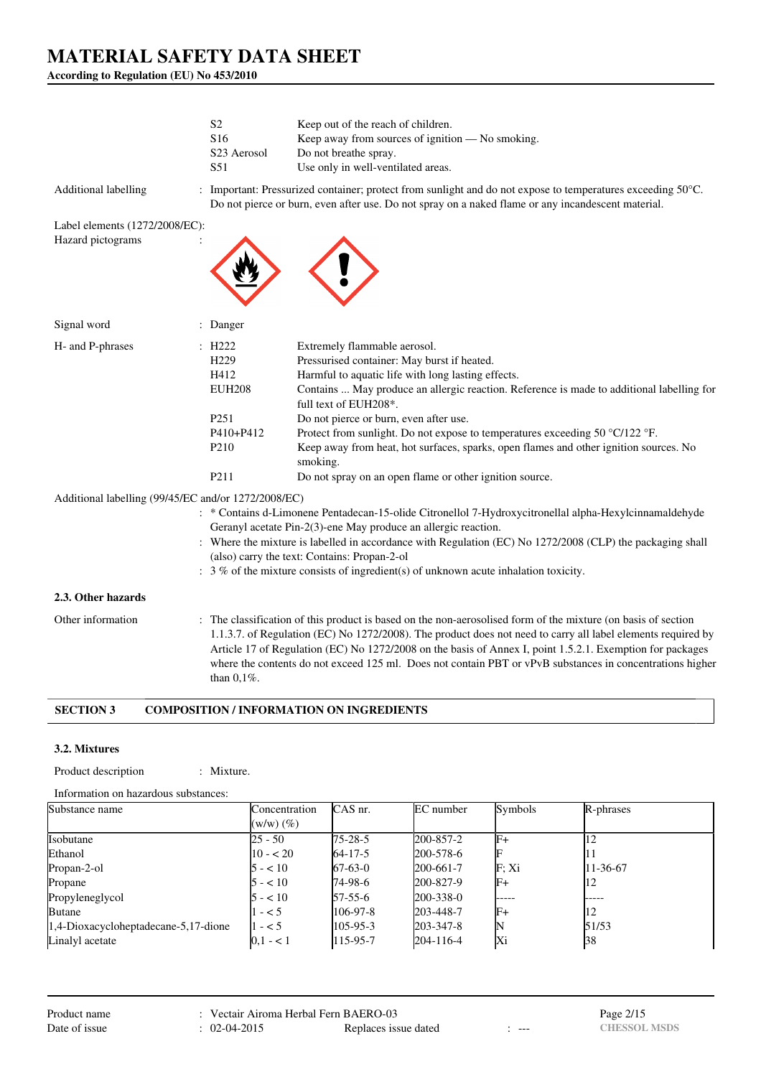**According to Regulation (EU) No 453/2010**

|                                                     | S <sub>2</sub><br>S <sub>16</sub><br>S <sub>23</sub> Aerosol<br>S51                                                        | Keep out of the reach of children.<br>Keep away from sources of ignition — No smoking.<br>Do not breathe spray.<br>Use only in well-ventilated areas.                                                                                                                                                                                                                                                                                                                                                                                             |
|-----------------------------------------------------|----------------------------------------------------------------------------------------------------------------------------|---------------------------------------------------------------------------------------------------------------------------------------------------------------------------------------------------------------------------------------------------------------------------------------------------------------------------------------------------------------------------------------------------------------------------------------------------------------------------------------------------------------------------------------------------|
| Additional labelling                                |                                                                                                                            | Important: Pressurized container; protect from sunlight and do not expose to temperatures exceeding $50^{\circ}$ C.<br>Do not pierce or burn, even after use. Do not spray on a naked flame or any incandescent material.                                                                                                                                                                                                                                                                                                                         |
| Label elements (1272/2008/EC):                      |                                                                                                                            |                                                                                                                                                                                                                                                                                                                                                                                                                                                                                                                                                   |
| Hazard pictograms                                   |                                                                                                                            |                                                                                                                                                                                                                                                                                                                                                                                                                                                                                                                                                   |
| Signal word                                         | : Danger                                                                                                                   |                                                                                                                                                                                                                                                                                                                                                                                                                                                                                                                                                   |
| H- and P-phrases                                    | H222<br>H <sub>229</sub><br>H412<br><b>EUH208</b><br>P <sub>251</sub><br>P410+P412<br>P <sub>210</sub><br>P <sub>211</sub> | Extremely flammable aerosol.<br>Pressurised container: May burst if heated.<br>Harmful to aquatic life with long lasting effects.<br>Contains  May produce an allergic reaction. Reference is made to additional labelling for<br>full text of EUH208*.<br>Do not pierce or burn, even after use.<br>Protect from sunlight. Do not expose to temperatures exceeding 50 °C/122 °F.<br>Keep away from heat, hot surfaces, sparks, open flames and other ignition sources. No<br>smoking.<br>Do not spray on an open flame or other ignition source. |
| Additional labelling (99/45/EC and/or 1272/2008/EC) |                                                                                                                            | : * Contains d-Limonene Pentadecan-15-olide Citronellol 7-Hydroxycitronellal alpha-Hexylcinnamaldehyde<br>Geranyl acetate Pin-2(3)-ene May produce an allergic reaction.<br>: Where the mixture is labelled in accordance with Regulation (EC) No 1272/2008 (CLP) the packaging shall<br>(also) carry the text: Contains: Propan-2-ol                                                                                                                                                                                                             |
|                                                     |                                                                                                                            | $\therefore$ 3 % of the mixture consists of ingredient(s) of unknown acute inhalation toxicity.                                                                                                                                                                                                                                                                                                                                                                                                                                                   |
| 2.3. Other hazards                                  |                                                                                                                            |                                                                                                                                                                                                                                                                                                                                                                                                                                                                                                                                                   |
| Other information                                   |                                                                                                                            | : The classification of this product is based on the non-aerosolised form of the mixture (on basis of section<br>1.1.3.7. of Regulation (EC) No 1272/2008). The product does not need to carry all label elements required by<br>Article 17 of Regulation (EC) No 1272/2008 on the basis of Annex I, point 1.5.2.1. Exemption for packages                                                                                                                                                                                                        |

#### **SECTION 3 COMPOSITION / INFORMATION ON INGREDIENTS**

than 0,1%.

#### **3.2. Mixtures**

Product description : Mixture.

Information on hazardous substances:

| Substance name                       | Concentration  | CAS nr.        | EC number | Symbols | R-phrases |
|--------------------------------------|----------------|----------------|-----------|---------|-----------|
|                                      | $(w/w)$ $(\%)$ |                |           |         |           |
| Isobutane                            | $25 - 50$      | $75 - 28 - 5$  | 200-857-2 | IF+     |           |
| Ethanol                              | $10 - 20$      | $64 - 17 - 5$  | 200-578-6 |         |           |
| Propan-2-ol                          | $5 - 10^{-5}$  | $67-63-0$      | 200-661-7 | F: Xi   | 11-36-67  |
| Propane                              | $5 - 10$       | $174 - 98 - 6$ | 200-827-9 | IF+     |           |
| Propyleneglycol                      | $5 - 10$       | $57-55-6$      | 200-338-0 | -----   | -----     |
| <b>Butane</b>                        | $- < 5$        | $106-97-8$     | 203-448-7 | lF+     | 12        |
| 1,4-Dioxacycloheptadecane-5,17-dione | $1 - 5$        | $105 - 95 - 3$ | 203-347-8 |         | 51/53     |
| Linalyl acetate                      | $0.1 - 1$      | $115 - 95 - 7$ | 204-116-4 | Хi      | 138       |

where the contents do not exceed 125 ml. Does not contain PBT or vPvB substances in concentrations higher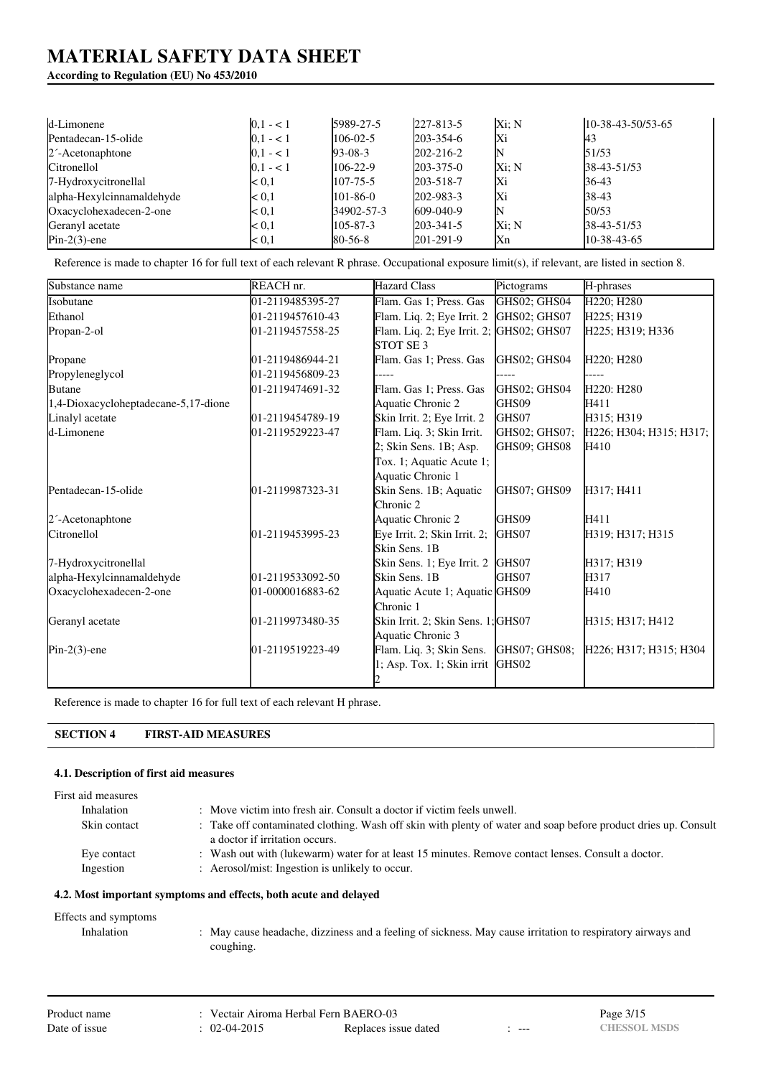# **According to Regulation (EU) No 453/2010**

| d-Limonene                   | $0,1 - 1$   | 5989-27-5      | 227-813-5       | Xi: N | $10-38-43-50/53-65$ |
|------------------------------|-------------|----------------|-----------------|-------|---------------------|
| Pentadecan-15-olide          | $0,1 - 1$   | $106 - 02 - 5$ | $203 - 354 - 6$ | Xi    | 43                  |
| 2 <sup>-</sup> Acetonaphtone | $ 0,1 - 1 $ | $93-08-3$      | 202-216-2       |       | 51/53               |
| Citronellol                  | $0.1 - 1$   | $106 - 22 - 9$ | $203 - 375 - 0$ | Xi: N | 38-43-51/53         |
| 7-Hydroxycitronellal         | $0.1$       | $107 - 75 - 5$ | 203-518-7       | lХi   | 36-43               |
| alpha-Hexylcinnamaldehyde    | $0.1$       | 101-86-0       | 202-983-3       | Xi    | 38-43               |
| Oxacyclohexadecen-2-one      | $0.1$       | 34902-57-3     | 609-040-9       | N     | 50/53               |
| Geranyl acetate              | $0.1$       | $105 - 87 - 3$ | $203 - 341 - 5$ | Xi: N | 38-43-51/53         |
| $Pin-2(3)$ -ene              | < 0.1       | $80-56-8$      | $201-291-9$     | Xn    | 10-38-43-65         |

Reference is made to chapter 16 for full text of each relevant R phrase. Occupational exposure limit(s), if relevant, are listed in section 8.

| Substance name                       | REACH nr.        | <b>Hazard Class</b>                      | Pictograms    | H-phrases                           |
|--------------------------------------|------------------|------------------------------------------|---------------|-------------------------------------|
| Isobutane                            | 01-2119485395-27 | Flam. Gas 1; Press. Gas                  | GHS02; GHS04  | H220; H280                          |
| Ethanol                              | 01-2119457610-43 | Flam. Liq. 2; Eye Irrit. 2               | GHS02; GHS07  | H225; H319                          |
| Propan-2-ol                          | 01-2119457558-25 | Flam. Liq. 2; Eye Irrit. 2; GHS02; GHS07 |               | H225; H319; H336                    |
|                                      |                  | STOT SE <sub>3</sub>                     |               |                                     |
| Propane                              | 01-2119486944-21 | Flam. Gas 1; Press. Gas                  | GHS02; GHS04  | H220; H280                          |
| Propyleneglycol                      | 01-2119456809-23 |                                          |               |                                     |
| <b>Butane</b>                        | 01-2119474691-32 | Flam. Gas 1; Press. Gas                  | GHS02; GHS04  | H <sub>220</sub> : H <sub>280</sub> |
| 1,4-Dioxacycloheptadecane-5,17-dione |                  | Aquatic Chronic 2                        | GHS09         | H411                                |
| Linalyl acetate                      | 01-2119454789-19 | Skin Irrit. 2; Eye Irrit. 2              | GHS07         | H315; H319                          |
| d-Limonene                           | 01-2119529223-47 | Flam. Liq. 3; Skin Irrit.                | GHS02; GHS07; | H226; H304; H315; H317;             |
|                                      |                  | 2; Skin Sens. 1B; Asp.                   | GHS09; GHS08  | H410                                |
|                                      |                  | Tox. 1; Aquatic Acute 1;                 |               |                                     |
|                                      |                  | Aquatic Chronic 1                        |               |                                     |
| Pentadecan-15-olide                  | 01-2119987323-31 | Skin Sens. 1B; Aquatic                   | GHS07; GHS09  | H317; H411                          |
|                                      |                  | Chronic 2                                |               |                                     |
| 2 <sup>-</sup> Acetonaphtone         |                  | Aquatic Chronic 2                        | GHS09         | H411                                |
| Citronellol                          | 01-2119453995-23 | Eye Irrit. 2; Skin Irrit. 2;             | GHS07         | H319; H317; H315                    |
|                                      |                  | Skin Sens. 1B                            |               |                                     |
| 7-Hydroxycitronellal                 |                  | Skin Sens. 1; Eye Irrit. 2               | GHS07         | H317; H319                          |
| alpha-Hexylcinnamaldehyde            | 01-2119533092-50 | Skin Sens. 1B                            | GHS07         | H317                                |
| Oxacyclohexadecen-2-one              | 01-0000016883-62 | Aquatic Acute 1; Aquatic GHS09           |               | H410                                |
|                                      |                  | Chronic 1                                |               |                                     |
| Geranyl acetate                      | 01-2119973480-35 | Skin Irrit. 2; Skin Sens. 1; GHS07       |               | H315; H317; H412                    |
|                                      |                  | Aquatic Chronic 3                        |               |                                     |
| $Pin-2(3)$ -ene                      | 01-2119519223-49 | Flam. Liq. 3; Skin Sens.                 | GHS07; GHS08; | H226; H317; H315; H304              |
|                                      |                  | 1; Asp. Tox. 1; Skin irrit GHS02         |               |                                     |
|                                      |                  |                                          |               |                                     |

Reference is made to chapter 16 for full text of each relevant H phrase.

# **SECTION 4 FIRST-AID MEASURES**

# **4.1. Description of first aid measures**

| First aid measures |                                                                                                                                                  |
|--------------------|--------------------------------------------------------------------------------------------------------------------------------------------------|
| Inhalation         | : Move victim into fresh air. Consult a doctor if victim feels unwell.                                                                           |
| Skin contact       | : Take off contaminated clothing. Wash off skin with plenty of water and soap before product dries up. Consult<br>a doctor if irritation occurs. |
| Eye contact        | : Wash out with (lukewarm) water for at least 15 minutes. Remove contact lenses. Consult a doctor.                                               |
| Ingestion          | : Aerosol/mist: Ingestion is unlikely to occur.                                                                                                  |

## **4.2. Most important symptoms and effects, both acute and delayed**

| Effects and symptoms |                                                                                                            |
|----------------------|------------------------------------------------------------------------------------------------------------|
| Inhalation           | . May cause headache, dizziness and a feeling of sickness. May cause irritation to respiratory airways and |
|                      | coughing.                                                                                                  |

| Product name  | : Vectair Airoma Herbal Fern BAERO-03 |                      |       | Page 3/15           |
|---------------|---------------------------------------|----------------------|-------|---------------------|
| Date of issue | $: 02-04-2015$                        | Replaces issue dated | $---$ | <b>CHESSOL MSDS</b> |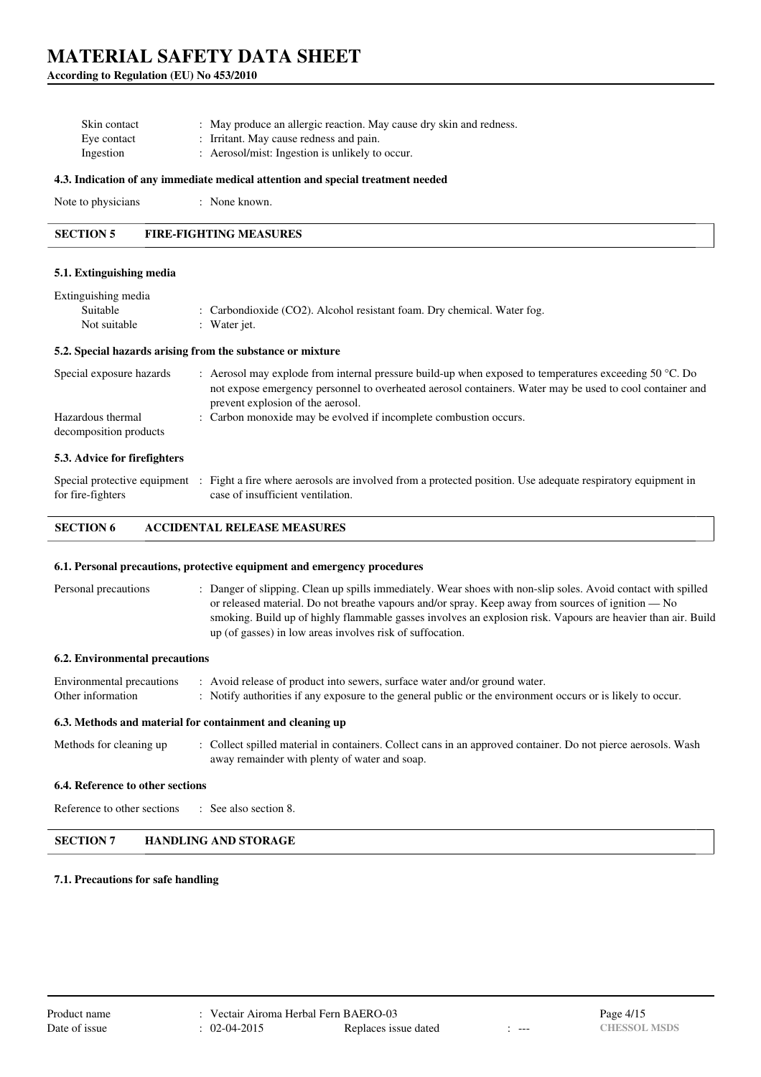**According to Regulation (EU) No 453/2010**

| Skin contact | : May produce an allergic reaction. May cause dry skin and redness. |  |
|--------------|---------------------------------------------------------------------|--|
| Eve contact  | : Irritant. May cause redness and pain.                             |  |
| Ingestion    | : Aerosol/mist: Ingestion is unlikely to occur.                     |  |

#### **4.3. Indication of any immediate medical attention and special treatment needed**

| Note to physicians | : None known. |
|--------------------|---------------|
|--------------------|---------------|

**SECTION 5 FIRE-FIGHTING MEASURES**

## **5.1. Extinguishing media**

| Extinguishing media           |                                                                                                                                                                                                                                                                  |
|-------------------------------|------------------------------------------------------------------------------------------------------------------------------------------------------------------------------------------------------------------------------------------------------------------|
| Suitable                      | : Carbondioxide (CO2). Alcohol resistant foam. Dry chemical. Water fog.                                                                                                                                                                                          |
| Not suitable                  | : Water jet.                                                                                                                                                                                                                                                     |
|                               | 5.2. Special hazards arising from the substance or mixture                                                                                                                                                                                                       |
| Special exposure hazards      | : Aerosol may explode from internal pressure build-up when exposed to temperatures exceeding $50^{\circ}$ C. Do<br>not expose emergency personnel to overheated aerosol containers. Water may be used to cool container and<br>prevent explosion of the aerosol. |
| Hazardous thermal             | : Carbon monoxide may be evolved if incomplete combustion occurs.                                                                                                                                                                                                |
| decomposition products        |                                                                                                                                                                                                                                                                  |
| 5.3. Advice for fire fighters |                                                                                                                                                                                                                                                                  |

#### Special protective equipment : Fight a fire where aerosols are involved from a protected position. Use adequate respiratory equipment in for fire-fighters case of insufficient ventilation.

### **SECTION 6 ACCIDENTAL RELEASE MEASURES**

#### **6.1. Personal precautions, protective equipment and emergency procedures**

Personal precautions : Danger of slipping. Clean up spills immediately. Wear shoes with non-slip soles. Avoid contact with spilled or released material. Do not breathe vapours and/or spray. Keep away from sources of ignition — No smoking. Build up of highly flammable gasses involves an explosion risk. Vapours are heavier than air. Build up (of gasses) in low areas involves risk of suffocation.

#### **6.2. Environmental precautions**

| Environmental precautions | : Avoid release of product into sewers, surface water and/or ground water.                                  |
|---------------------------|-------------------------------------------------------------------------------------------------------------|
| Other information         | : Notify authorities if any exposure to the general public or the environment occurs or is likely to occur. |

### **6.3. Methods and material for containment and cleaning up**

| Methods for cleaning up | : Collect spilled material in containers. Collect cans in an approved container. Do not pierce aerosols. Wash |
|-------------------------|---------------------------------------------------------------------------------------------------------------|
|                         | away remainder with plenty of water and soap.                                                                 |

#### **6.4. Reference to other sections**

Reference to other sections : See also section 8.

#### **SECTION 7 HANDLING AND STORAGE**

### **7.1. Precautions for safe handling**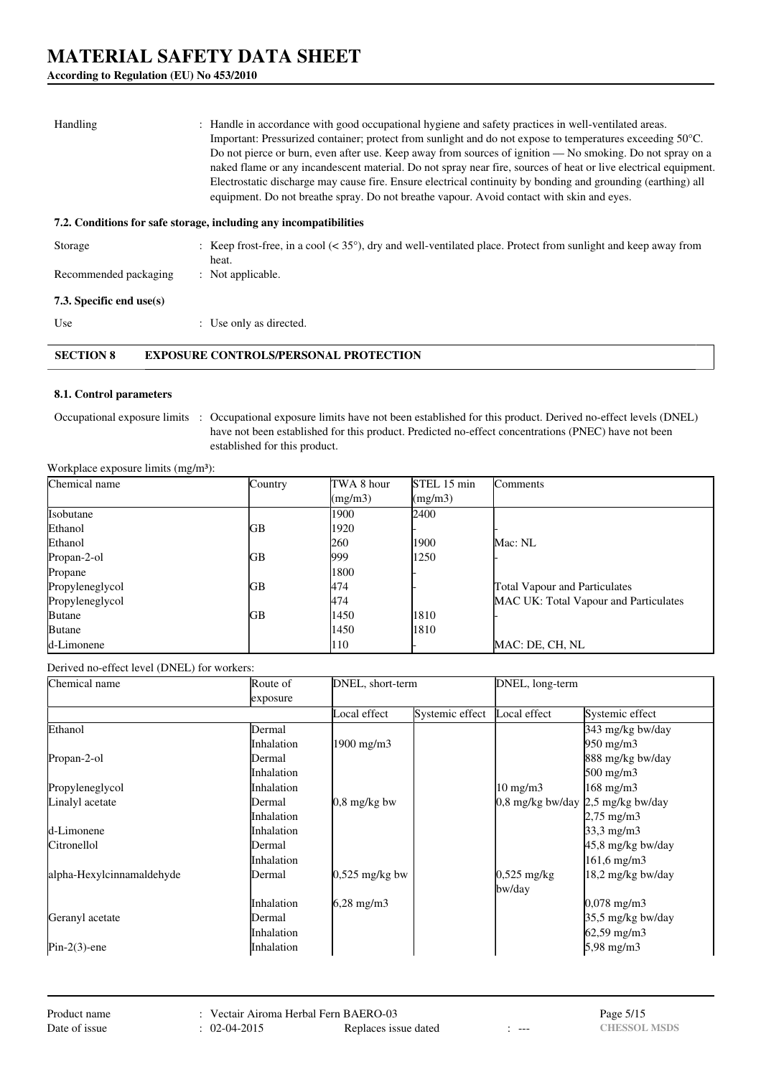**According to Regulation (EU) No 453/2010**

| Handling                 | : Handle in accordance with good occupational hygiene and safety practices in well-ventilated areas.<br>Important: Pressurized container; protect from sunlight and do not expose to temperatures exceeding 50 °C.<br>Do not pierce or burn, even after use. Keep away from sources of ignition — No smoking. Do not spray on a<br>naked flame or any incandescent material. Do not spray near fire, sources of heat or live electrical equipment.<br>Electrostatic discharge may cause fire. Ensure electrical continuity by bonding and grounding (earthing) all<br>equipment. Do not breathe spray. Do not breathe vapour. Avoid contact with skin and eyes. |
|--------------------------|-----------------------------------------------------------------------------------------------------------------------------------------------------------------------------------------------------------------------------------------------------------------------------------------------------------------------------------------------------------------------------------------------------------------------------------------------------------------------------------------------------------------------------------------------------------------------------------------------------------------------------------------------------------------|
|                          | 7.2. Conditions for safe storage, including any incompatibilities                                                                                                                                                                                                                                                                                                                                                                                                                                                                                                                                                                                               |
| Storage                  | : Keep frost-free, in a cool $(< 35^{\circ})$ , dry and well-ventilated place. Protect from sunlight and keep away from<br>heat.                                                                                                                                                                                                                                                                                                                                                                                                                                                                                                                                |
| Recommended packaging    | : Not applicable.                                                                                                                                                                                                                                                                                                                                                                                                                                                                                                                                                                                                                                               |
| 7.3. Specific end use(s) |                                                                                                                                                                                                                                                                                                                                                                                                                                                                                                                                                                                                                                                                 |
| Use                      | : Use only as directed.                                                                                                                                                                                                                                                                                                                                                                                                                                                                                                                                                                                                                                         |
| <b>SECTION 8</b>         | <b>EXPOSURE CONTROLS/PERSONAL PROTECTION</b>                                                                                                                                                                                                                                                                                                                                                                                                                                                                                                                                                                                                                    |

## **8.1. Control parameters**

Occupational exposure limits : Occupational exposure limits have not been established for this product. Derived no-effect levels (DNEL) have not been established for this product. Predicted no-effect concentrations (PNEC) have not been established for this product.

Workplace exposure limits (mg/m<sup>3</sup>):

| Chemical name   | Country | TWA 8 hour | STEL 15 min | <b>Comments</b>                       |
|-----------------|---------|------------|-------------|---------------------------------------|
|                 |         | (mg/m3)    | (mg/m3)     |                                       |
| Isobutane       |         | 1900       | 2400        |                                       |
| Ethanol         | GB      | 1920       |             |                                       |
| Ethanol         |         | <b>260</b> | 1900        | Mac: NL                               |
| Propan-2-ol     | GВ      | 999        | 1250        |                                       |
| Propane         |         | 1800       |             |                                       |
| Propyleneglycol | GВ      | 474        |             | <b>Total Vapour and Particulates</b>  |
| Propyleneglycol |         | 474        |             | MAC UK: Total Vapour and Particulates |
| <b>Butane</b>   | GВ      | 1450       | 1810        |                                       |
| <b>Butane</b>   |         | 1450       | 1810        |                                       |
| d-Limonene      |         | 110        |             | MAC: DE, CH, NL                       |

Derived no-effect level (DNEL) for workers:

| Chemical name             | Route of          | DNEL, short-term       |                 | DNEL, long-term                            |                       |  |
|---------------------------|-------------------|------------------------|-----------------|--------------------------------------------|-----------------------|--|
|                           | exposure          |                        |                 |                                            |                       |  |
|                           |                   | Local effect           | Systemic effect | Local effect                               | Systemic effect       |  |
| Ethanol                   | Dermal            |                        |                 |                                            | 343 mg/kg bw/day      |  |
|                           | Inhalation        | $1900 \text{ mg/m}$    |                 |                                            | $950 \text{ mg/m}$    |  |
| Propan-2-ol               | Dermal            |                        |                 |                                            | 888 mg/kg bw/day      |  |
|                           | Inhalation        |                        |                 |                                            | $500 \text{ mg/m}$    |  |
| Propyleneglycol           | Inhalation        |                        |                 | $10 \text{ mg/m}$                          | 168 mg/m3             |  |
| Linalyl acetate           | Dermal            | $0.8 \text{ mg/kg}$ bw |                 | 0.8 mg/kg bw/day $\sqrt{2.5}$ mg/kg bw/day |                       |  |
|                           | Inhalation        |                        |                 |                                            | $2,75 \text{ mg/m}$ 3 |  |
| d-Limonene                | Inhalation        |                        |                 |                                            | $33,3 \text{ mg/m}$   |  |
| Citronellol               | <b>Dermal</b>     |                        |                 |                                            | 45,8 mg/kg bw/day     |  |
|                           | Inhalation        |                        |                 |                                            | $161,6$ mg/m $3$      |  |
| alpha-Hexylcinnamaldehyde | <b>Dermal</b>     | $0,525$ mg/kg bw       |                 | $0,525$ mg/kg                              | 18,2 mg/kg bw/day     |  |
|                           |                   |                        |                 | bw/day                                     |                       |  |
|                           | <i>Inhalation</i> | $6,28 \text{ mg/m}$    |                 |                                            | $0,078$ mg/m $3$      |  |
| Geranyl acetate           | Dermal            |                        |                 |                                            | 35,5 mg/kg bw/day     |  |
|                           | Inhalation        |                        |                 |                                            | $62,59 \text{ mg/m}$  |  |
| $Pin-2(3)$ -ene           | Inhalation        |                        |                 |                                            | 5,98 mg/m3            |  |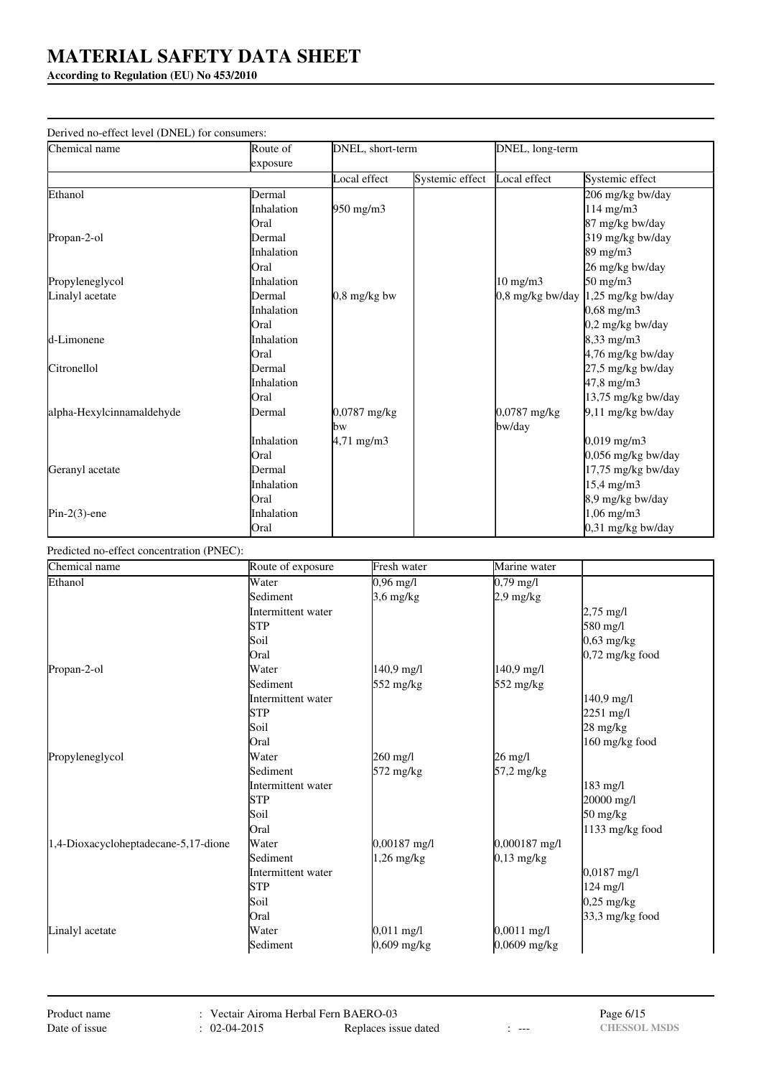# **According to Regulation (EU) No 453/2010**

| Derived no-effect level (DNEL) for consumers: |            |                    |                 |                   |                       |
|-----------------------------------------------|------------|--------------------|-----------------|-------------------|-----------------------|
| Chemical name                                 | Route of   | DNEL, short-term   |                 | DNEL, long-term   |                       |
|                                               | exposure   |                    |                 |                   |                       |
|                                               |            | Local effect       | Systemic effect | Local effect      | Systemic effect       |
| Ethanol                                       | Dermal     |                    |                 |                   | 206 mg/kg bw/day      |
|                                               | Inhalation | $950 \text{ mg/m}$ |                 |                   | 114 mg/m3             |
|                                               | Oral       |                    |                 |                   | 87 mg/kg bw/day       |
| Propan-2-ol                                   | Dermal     |                    |                 |                   | 319 mg/kg bw/day      |
|                                               | Inhalation |                    |                 |                   | $89 \text{ mg/m}$     |
|                                               | Oral       |                    |                 |                   | 26 mg/kg bw/day       |
| Propyleneglycol                               | Inhalation |                    |                 | $10 \text{ mg/m}$ | $50 \text{ mg/m}$     |
| Linalyl acetate                               | Dermal     | $0.8$ mg/kg bw     |                 | 0,8 mg/kg bw/day  | 1,25 mg/kg bw/day     |
|                                               | Inhalation |                    |                 |                   | $0,68 \text{ mg/m}$ 3 |
|                                               | Oral       |                    |                 |                   | 0,2 mg/kg bw/day      |
| d-Limonene                                    | Inhalation |                    |                 |                   | 8,33 mg/m3            |
|                                               | Oral       |                    |                 |                   | 4,76 mg/kg bw/day     |
| Citronellol                                   | Dermal     |                    |                 |                   | 27,5 mg/kg bw/day     |
|                                               | Inhalation |                    |                 |                   | 47,8 mg/m3            |
|                                               | Oral       |                    |                 |                   | 13,75 mg/kg bw/day    |
| alpha-Hexylcinnamaldehyde                     | Dermal     | $0,0787$ mg/kg     |                 | 0,0787 mg/kg      | $9.11$ mg/kg bw/day   |
|                                               |            | bw                 |                 | bw/day            |                       |
|                                               | Inhalation | $4,71$ mg/m3       |                 |                   | $0,019$ mg/m $3$      |
|                                               | Oral       |                    |                 |                   | 0,056 mg/kg bw/day    |
| Geranyl acetate                               | Dermal     |                    |                 |                   | 17,75 mg/kg bw/day    |
|                                               | Inhalation |                    |                 |                   | 15,4 mg/m3            |
|                                               | Oral       |                    |                 |                   | 8,9 mg/kg bw/day      |
| $Pin-2(3)$ -ene                               | Inhalation |                    |                 |                   | $1,06$ mg/m $3$       |
|                                               | Oral       |                    |                 |                   | 0,31 mg/kg bw/day     |

# Predicted no-effect concentration (PNEC):

| Chemical name                        | Route of exposure  | Fresh water  | Marine water  |                                  |
|--------------------------------------|--------------------|--------------|---------------|----------------------------------|
| Ethanol                              | Water              | $0,96$ mg/l  | $0,79$ mg/l   |                                  |
|                                      | Sediment           | $3,6$ mg/kg  | $2.9$ mg/kg   |                                  |
|                                      | Intermittent water |              |               | $2,75 \text{ mg}/1$              |
|                                      | <b>STP</b>         |              |               | 580 mg/l                         |
|                                      | Soil               |              |               | $0,63$ mg/kg                     |
|                                      | Oral               |              |               | $0,72$ mg/kg food                |
| Propan-2-ol                          | Water              | $140.9$ mg/l | $140.9$ mg/l  |                                  |
|                                      | Sediment           | 552 mg/kg    | 552 mg/kg     |                                  |
|                                      | Intermittent water |              |               | $140.9$ mg/l                     |
|                                      | <b>STP</b>         |              |               | $2251 \text{ mg/l}$              |
|                                      | Soil               |              |               | $28 \text{ mg/kg}$               |
|                                      | Oral               |              |               | 160 mg/kg food                   |
| Propyleneglycol                      | Water              | 260 mg/l     | 26 mg/l       |                                  |
|                                      | Sediment           | 572 mg/kg    | 57,2 mg/kg    |                                  |
|                                      | Intermittent water |              |               | $183$ mg/l                       |
|                                      | <b>STP</b>         |              |               | 20000 mg/l                       |
|                                      | Soil               |              |               | $50 \frac{\text{mg}}{\text{kg}}$ |
|                                      | Oral               |              |               | 1133 mg/kg food                  |
| 1,4-Dioxacycloheptadecane-5,17-dione | Water              | 0,00187 mg/l | 0,000187 mg/l |                                  |
|                                      | Sediment           | $1,26$ mg/kg | $0,13$ mg/kg  |                                  |
|                                      | Intermittent water |              |               | $0,0187$ mg/l                    |
|                                      | <b>STP</b>         |              |               | $124$ mg/l                       |
|                                      | Soil               |              |               | $0,25$ mg/kg                     |
|                                      | Oral               |              |               | $33.3$ mg/kg food                |
| Linalyl acetate                      | Water              | $0,011$ mg/l | $0,0011$ mg/l |                                  |
|                                      | Sediment           | 0,609 mg/kg  | 0,0609 mg/kg  |                                  |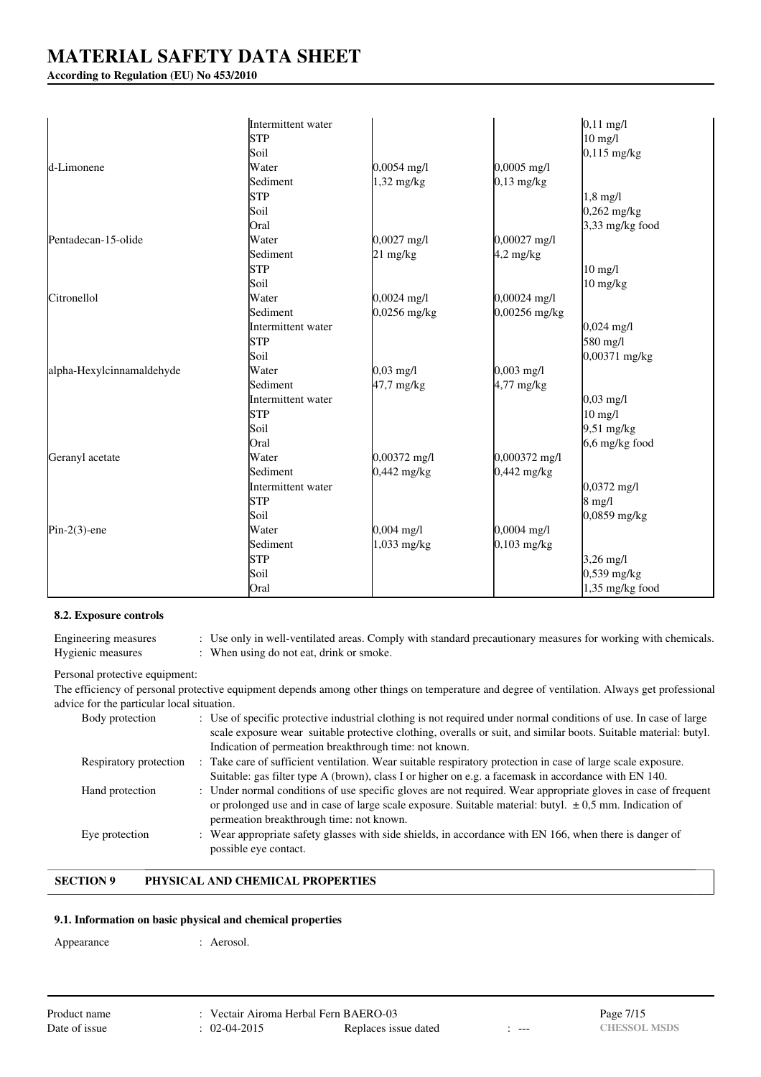# **According to Regulation (EU) No 453/2010**

|                           | Intermittent water |                     |                | $0,11 \text{ mg/l}$  |
|---------------------------|--------------------|---------------------|----------------|----------------------|
|                           | <b>STP</b>         |                     |                | $10 \text{ mg/l}$    |
|                           | Soil               |                     |                | $0,115$ mg/kg        |
| d-Limonene                | Water              | $0,0054$ mg/l       | 0,0005 mg/l    |                      |
|                           | Sediment           | $1,32$ mg/kg        | $0,13$ mg/kg   |                      |
|                           | <b>STP</b>         |                     |                | $1,8$ mg/l           |
|                           | Soil               |                     |                | $0,262$ mg/kg        |
|                           | Oral               |                     |                | $3,33$ mg/kg food    |
| Pentadecan-15-olide       | Water              | $0,0027$ mg/l       | $0,00027$ mg/l |                      |
|                           | Sediment           | 21 mg/kg            | $4.2$ mg/kg    |                      |
|                           | <b>STP</b>         |                     |                | $10$ mg/l            |
|                           | Soil               |                     |                | $10$ mg/kg           |
| Citronellol               | Water              | $0,0024$ mg/l       | $0,00024$ mg/l |                      |
|                           | Sediment           | $0,0256$ mg/kg      | 0,00256 mg/kg  |                      |
|                           | Intermittent water |                     |                | $0,024 \text{ mg/l}$ |
|                           | <b>STP</b>         |                     |                | 580 mg/l             |
|                           | Soil               |                     |                | 0,00371 mg/kg        |
| alpha-Hexylcinnamaldehyde | Water              | $0,03 \text{ mg/l}$ | $0,003$ mg/l   |                      |
|                           | Sediment           | $47,7$ mg/kg        | $4,77$ mg/kg   |                      |
|                           | Intermittent water |                     |                | $0,03 \text{ mg/l}$  |
|                           | <b>STP</b>         |                     |                | $10$ mg/l            |
|                           | Soil               |                     |                | $9,51 \text{ mg/kg}$ |
|                           | Oral               |                     |                | $6,6$ mg/kg food     |
| Geranyl acetate           | Water              | 0,00372 mg/l        | 0,000372 mg/l  |                      |
|                           | Sediment           | $0,442$ mg/kg       | $0,442$ mg/kg  |                      |
|                           | Intermittent water |                     |                | $0,0372$ mg/l        |
|                           | <b>STP</b>         |                     |                | $8$ mg/l             |
|                           | Soil               |                     |                | $0,0859$ mg/kg       |
| $Pin-2(3)$ -ene           | Water              | $0,004$ mg/l        | $0,0004$ mg/l  |                      |
|                           | Sediment           | 1,033 mg/kg         | $0,103$ mg/kg  |                      |
|                           | <b>STP</b>         |                     |                | $3,26 \text{ mg/l}$  |
|                           | Soil               |                     |                | $0,539$ mg/kg        |
|                           | Oral               |                     |                | 1,35 mg/kg food      |

### **8.2. Exposure controls**

| Engineering measures | : Use only in well-ventilated areas. Comply with standard precautionary measures for working with chemicals. |
|----------------------|--------------------------------------------------------------------------------------------------------------|
| Hygienic measures    | : When using do not eat, drink or smoke.                                                                     |

### Personal protective equipment:

The efficiency of personal protective equipment depends among other things on temperature and degree of ventilation. Always get professional advice for the particular local situation.

| Body protection        | : Use of specific protective industrial clothing is not required under normal conditions of use. In case of large<br>scale exposure wear suitable protective clothing, overalls or suit, and similar boots. Suitable material: butyl. |
|------------------------|---------------------------------------------------------------------------------------------------------------------------------------------------------------------------------------------------------------------------------------|
|                        |                                                                                                                                                                                                                                       |
|                        | Indication of permeation breakthrough time: not known.                                                                                                                                                                                |
| Respiratory protection | : Take care of sufficient ventilation. Wear suitable respiratory protection in case of large scale exposure.                                                                                                                          |
|                        | Suitable: gas filter type A (brown), class I or higher on e.g. a facemask in accordance with EN 140.                                                                                                                                  |
| Hand protection        | : Under normal conditions of use specific gloves are not required. Wear appropriate gloves in case of frequent                                                                                                                        |
|                        | or prolonged use and in case of large scale exposure. Suitable material: butyl. $\pm$ 0,5 mm. Indication of                                                                                                                           |
|                        | permeation breakthrough time: not known.                                                                                                                                                                                              |
| Eye protection         | : Wear appropriate safety glasses with side shields, in accordance with EN 166, when there is danger of                                                                                                                               |
|                        | possible eye contact.                                                                                                                                                                                                                 |

# **SECTION 9 PHYSICAL AND CHEMICAL PROPERTIES**

## **9.1. Information on basic physical and chemical properties**

Appearance : Aerosol.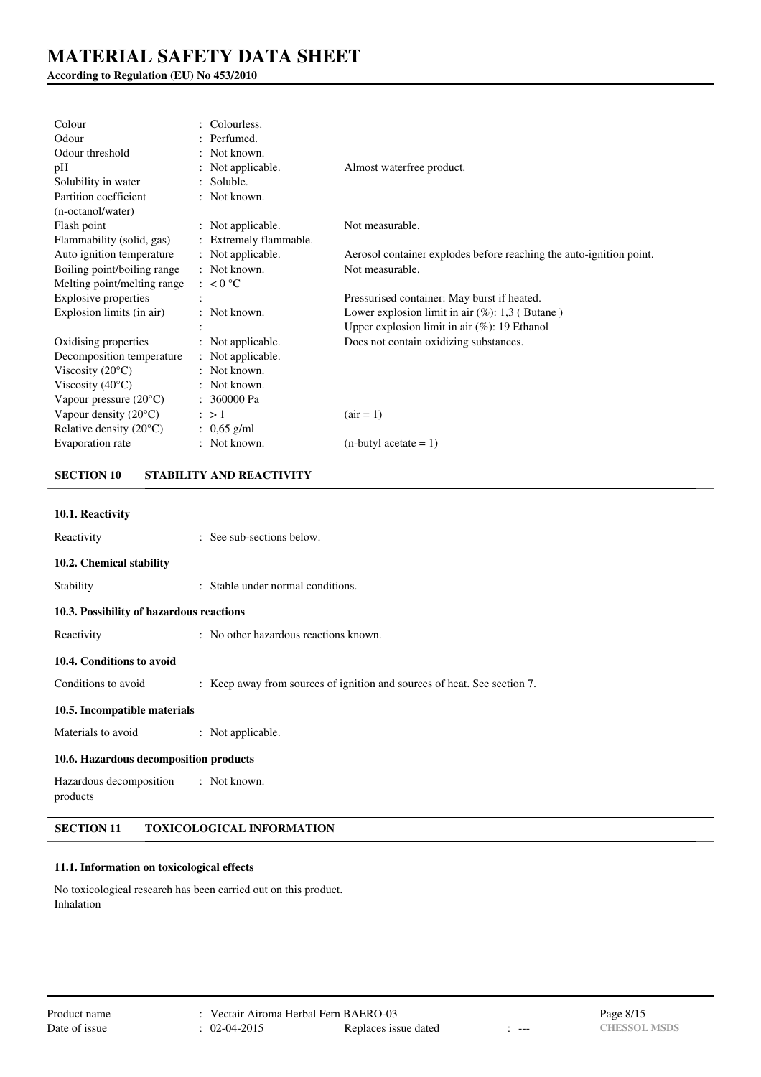# **According to Regulation (EU) No 453/2010**

| Colour                           | Colourless.            |                                                                     |
|----------------------------------|------------------------|---------------------------------------------------------------------|
| Odour                            | : Perfumed.            |                                                                     |
| Odour threshold                  | : Not known.           |                                                                     |
| pH                               | : Not applicable.      | Almost waterfree product.                                           |
| Solubility in water              | : Soluble.             |                                                                     |
| Partition coefficient            | : Not known.           |                                                                     |
| (n-octanol/water)                |                        |                                                                     |
| Flash point                      | : Not applicable.      | Not measurable.                                                     |
| Flammability (solid, gas)        | : Extremely flammable. |                                                                     |
| Auto ignition temperature        | : Not applicable.      | Aerosol container explodes before reaching the auto-ignition point. |
| Boiling point/boiling range      | : Not known.           | Not measurable.                                                     |
| Melting point/melting range      | $\approx 0^{\circ}C$   |                                                                     |
| <b>Explosive properties</b>      |                        | Pressurised container: May burst if heated.                         |
| Explosion limits (in air)        | : Not known.           | Lower explosion limit in air $(\%)$ : 1,3 (Butane)                  |
|                                  |                        | Upper explosion limit in air $(\%)$ : 19 Ethanol                    |
| Oxidising properties             | : Not applicable.      | Does not contain oxidizing substances.                              |
| Decomposition temperature        | : Not applicable.      |                                                                     |
| Viscosity $(20^{\circ}C)$        | : Not known.           |                                                                     |
| Viscosity $(40^{\circ}C)$        | : Not known.           |                                                                     |
| Vapour pressure $(20^{\circ}C)$  | : 360000 Pa            |                                                                     |
| Vapour density $(20^{\circ}C)$   | $\therefore$ > 1       | $(air = 1)$                                                         |
| Relative density $(20^{\circ}C)$ | : $0.65$ g/ml          |                                                                     |
| Evaporation rate                 | : Not known.           | $(n$ -butyl acetate = 1)                                            |

# **SECTION 10 STABILITY AND REACTIVITY**

| 10.1. Reactivity                         |                                                                          |
|------------------------------------------|--------------------------------------------------------------------------|
| Reactivity                               | : See sub-sections below.                                                |
| 10.2. Chemical stability                 |                                                                          |
| Stability                                | : Stable under normal conditions.                                        |
| 10.3. Possibility of hazardous reactions |                                                                          |
| Reactivity                               | : No other hazardous reactions known.                                    |
| 10.4. Conditions to avoid                |                                                                          |
| Conditions to avoid                      | : Keep away from sources of ignition and sources of heat. See section 7. |
| 10.5. Incompatible materials             |                                                                          |
| Materials to avoid                       | : Not applicable.                                                        |
| 10.6. Hazardous decomposition products   |                                                                          |
| Hazardous decomposition<br>products      | : Not known.                                                             |

**SECTION 11 TOXICOLOGICAL INFORMATION**

# **11.1. Information on toxicological effects**

No toxicological research has been carried out on this product. Inhalation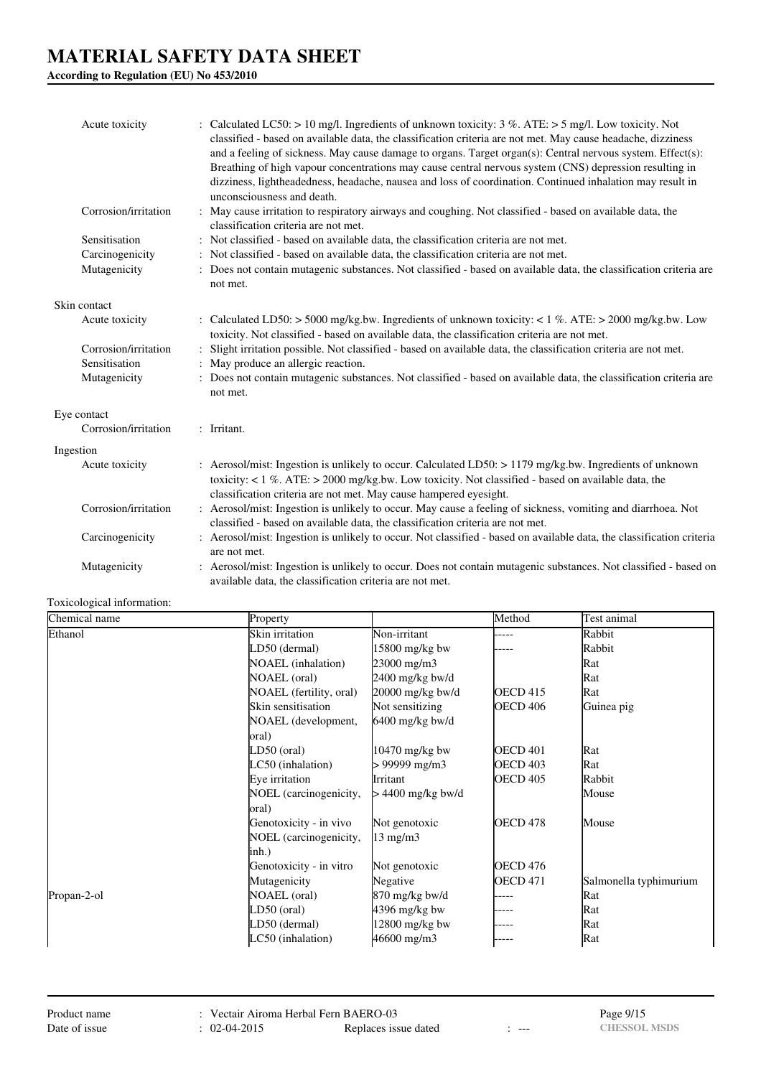**According to Regulation (EU) No 453/2010**

| Acute toxicity       | : Calculated LC50: $> 10$ mg/l. Ingredients of unknown toxicity: 3 %. ATE: $> 5$ mg/l. Low toxicity. Not<br>classified - based on available data, the classification criteria are not met. May cause headache, dizziness<br>and a feeling of sickness. May cause damage to organs. Target organ(s): Central nervous system. Effect(s):<br>Breathing of high vapour concentrations may cause central nervous system (CNS) depression resulting in<br>dizziness, lightheadedness, headache, nausea and loss of coordination. Continued inhalation may result in<br>unconsciousness and death. |
|----------------------|---------------------------------------------------------------------------------------------------------------------------------------------------------------------------------------------------------------------------------------------------------------------------------------------------------------------------------------------------------------------------------------------------------------------------------------------------------------------------------------------------------------------------------------------------------------------------------------------|
| Corrosion/irritation | : May cause irritation to respiratory airways and coughing. Not classified - based on available data, the<br>classification criteria are not met.                                                                                                                                                                                                                                                                                                                                                                                                                                           |
| Sensitisation        | : Not classified - based on available data, the classification criteria are not met.                                                                                                                                                                                                                                                                                                                                                                                                                                                                                                        |
| Carcinogenicity      | : Not classified - based on available data, the classification criteria are not met.                                                                                                                                                                                                                                                                                                                                                                                                                                                                                                        |
| Mutagenicity         | : Does not contain mutagenic substances. Not classified - based on available data, the classification criteria are<br>not met.                                                                                                                                                                                                                                                                                                                                                                                                                                                              |
| Skin contact         |                                                                                                                                                                                                                                                                                                                                                                                                                                                                                                                                                                                             |
| Acute toxicity       | : Calculated LD50: > 5000 mg/kg.bw. Ingredients of unknown toxicity: < 1 %. ATE: > 2000 mg/kg.bw. Low<br>toxicity. Not classified - based on available data, the classification criteria are not met.                                                                                                                                                                                                                                                                                                                                                                                       |
| Corrosion/irritation | Slight irritation possible. Not classified - based on available data, the classification criteria are not met.                                                                                                                                                                                                                                                                                                                                                                                                                                                                              |
| Sensitisation        | : May produce an allergic reaction.                                                                                                                                                                                                                                                                                                                                                                                                                                                                                                                                                         |
| Mutagenicity         | : Does not contain mutagenic substances. Not classified - based on available data, the classification criteria are<br>not met.                                                                                                                                                                                                                                                                                                                                                                                                                                                              |
| Eye contact          |                                                                                                                                                                                                                                                                                                                                                                                                                                                                                                                                                                                             |
| Corrosion/irritation | : Irritant.                                                                                                                                                                                                                                                                                                                                                                                                                                                                                                                                                                                 |
| Ingestion            |                                                                                                                                                                                                                                                                                                                                                                                                                                                                                                                                                                                             |
| Acute toxicity       | : Aerosol/mist: Ingestion is unlikely to occur. Calculated LD50: > 1179 mg/kg.bw. Ingredients of unknown<br>toxicity: $< 1\%$ . ATE: $> 2000$ mg/kg.bw. Low toxicity. Not classified - based on available data, the<br>classification criteria are not met. May cause hampered eyesight.                                                                                                                                                                                                                                                                                                    |
| Corrosion/irritation | : Aerosol/mist: Ingestion is unlikely to occur. May cause a feeling of sickness, vomiting and diarrhoea. Not<br>classified - based on available data, the classification criteria are not met.                                                                                                                                                                                                                                                                                                                                                                                              |
| Carcinogenicity      | : Aerosol/mist: Ingestion is unlikely to occur. Not classified - based on available data, the classification criteria<br>are not met.                                                                                                                                                                                                                                                                                                                                                                                                                                                       |
| Mutagenicity         | : Aerosol/mist: Ingestion is unlikely to occur. Does not contain mutagenic substances. Not classified - based on<br>available data, the classification criteria are not met.                                                                                                                                                                                                                                                                                                                                                                                                                |

## Toxicological information:

| Chemical name | Property                  |                     | Method          | Test animal            |
|---------------|---------------------------|---------------------|-----------------|------------------------|
| Ethanol       | Skin irritation           | Non-irritant        | $---$           | Rabbit                 |
|               | LD50 (dermal)             | $15800$ mg/kg bw    |                 | Rabbit                 |
|               | <b>NOAEL</b> (inhalation) | 23000 mg/m3         |                 | Rat                    |
|               | NOAEL (oral)              | 2400 mg/kg bw/d     |                 | Rat                    |
|               | NOAEL (fertility, oral)   | 20000 mg/kg bw/d    | <b>OECD 415</b> | Rat                    |
|               | Skin sensitisation        | Not sensitizing     | <b>OECD 406</b> | Guinea pig             |
|               | NOAEL (development,       | $6400$ mg/kg bw/d   |                 |                        |
|               | oral)                     |                     |                 |                        |
|               | LD50 (oral)               | 10470 mg/kg bw      | <b>OECD 401</b> | Rat                    |
|               | LC50 (inhalation)         | > 99999 mg/m3       | <b>OECD 403</b> | Rat                    |
|               | Eye irritation            | Irritant            | <b>OECD 405</b> | Rabbit                 |
|               | NOEL (carcinogenicity,    | $> 4400$ mg/kg bw/d |                 | Mouse                  |
|               | oral)                     |                     |                 |                        |
|               | Genotoxicity - in vivo    | Not genotoxic       | OECD 478        | Mouse                  |
|               | NOEL (carcinogenicity,    | $13 \text{ mg/m}$   |                 |                        |
|               | inh.)                     |                     |                 |                        |
|               | Genotoxicity - in vitro   | Not genotoxic       | <b>OECD 476</b> |                        |
|               | Mutagenicity              | Negative            | <b>OECD 471</b> | Salmonella typhimurium |
| Propan-2-ol   | NOAEL (oral)              | 870 mg/kg bw/d      |                 | Rat                    |
|               | LD50 (oral)               | $4396$ mg/kg bw     |                 | Rat                    |
|               | LD50 (dermal)             | 12800 mg/kg bw      | ----            | Rat                    |
|               | LC50 (inhalation)         | 46600 mg/m3         |                 | Rat                    |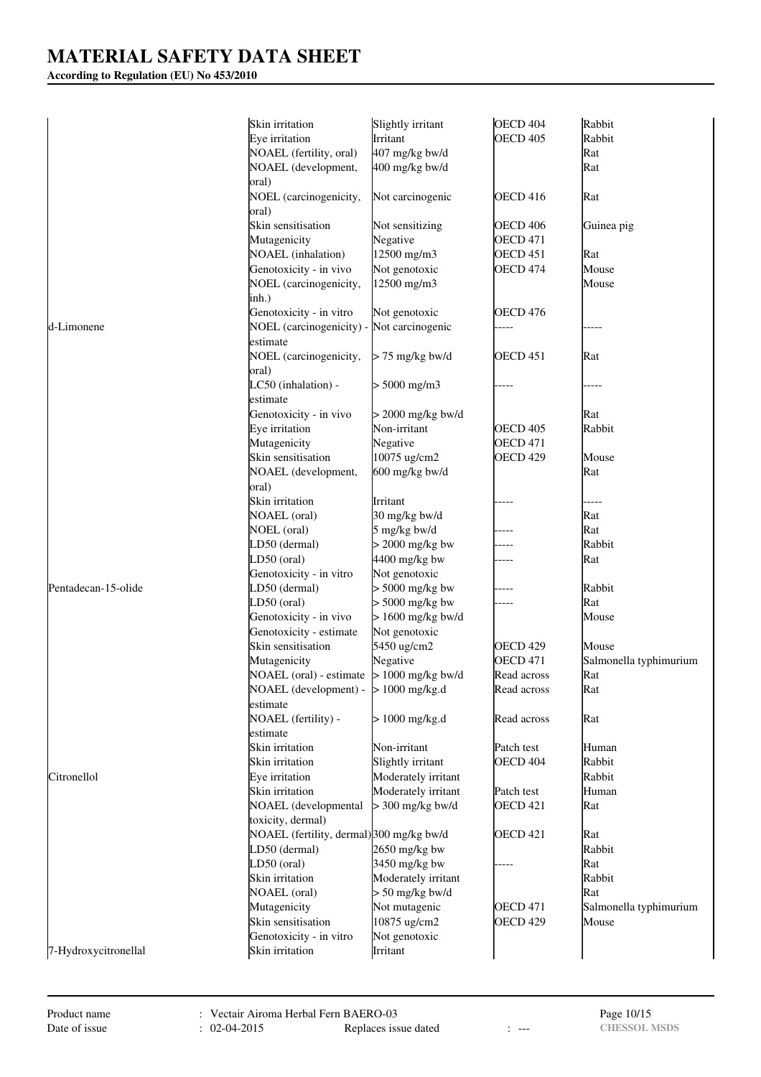# **According to Regulation (EU) No 453/2010**

|                      | Skin irritation                             | Slightly irritant   | OECD <sub>404</sub> | Rabbit                 |
|----------------------|---------------------------------------------|---------------------|---------------------|------------------------|
|                      | Eye irritation                              | Irritant            | <b>OECD 405</b>     | Rabbit                 |
|                      | NOAEL (fertility, oral)                     | 407 mg/kg bw/d      |                     | Rat                    |
|                      | NOAEL (development,                         | 400 mg/kg bw/d      |                     | Rat                    |
|                      | oral)                                       |                     |                     |                        |
|                      | NOEL (carcinogenicity,                      | Not carcinogenic    | <b>OECD 416</b>     | Rat                    |
|                      | oral)                                       |                     |                     |                        |
|                      | Skin sensitisation                          | Not sensitizing     | OECD <sub>406</sub> | Guinea pig             |
|                      | Mutagenicity                                | Negative            | <b>OECD 471</b>     |                        |
|                      | NOAEL (inhalation)                          | 12500 mg/m3         | OECD <sub>451</sub> | Rat                    |
|                      | Genotoxicity - in vivo                      | Not genotoxic       | <b>OECD 474</b>     | Mouse                  |
|                      | NOEL (carcinogenicity,                      | 12500 mg/m3         |                     | Mouse                  |
|                      | inh.)                                       |                     |                     |                        |
|                      | Genotoxicity - in vitro                     | Not genotoxic       | <b>OECD 476</b>     |                        |
| d-Limonene           | NOEL (carcinogenicity) - Not carcinogenic   |                     |                     |                        |
|                      | estimate                                    |                     |                     |                        |
|                      | NOEL (carcinogenicity,                      | $> 75$ mg/kg bw/d   | <b>OECD 451</b>     | Rat                    |
|                      |                                             |                     |                     |                        |
|                      | oral)<br>LC50 (inhalation) -                | $> 5000$ mg/m3      |                     |                        |
|                      | estimate                                    |                     |                     |                        |
|                      |                                             |                     |                     |                        |
|                      | Genotoxicity - in vivo                      | $>$ 2000 mg/kg bw/d |                     | Rat                    |
|                      | Eye irritation                              | Non-irritant        | OECD <sub>405</sub> | Rabbit                 |
|                      | Mutagenicity                                | Negative            | <b>OECD 471</b>     |                        |
|                      | Skin sensitisation                          | 10075 ug/cm2        | OECD <sub>429</sub> | Mouse                  |
|                      | NOAEL (development,                         | 600 mg/kg bw/d      |                     | Rat                    |
|                      | oral)                                       |                     |                     |                        |
|                      | Skin irritation                             | Irritant            |                     |                        |
|                      | <b>NOAEL</b> (oral)                         | 30 mg/kg bw/d       |                     | Rat                    |
|                      | NOEL (oral)                                 | 5 mg/kg bw/d        |                     | Rat                    |
|                      | LD50 (dermal)                               | $> 2000$ mg/kg bw   |                     | Rabbit                 |
|                      | LD50 (oral)                                 | 4400 mg/kg bw       |                     | Rat                    |
|                      | Genotoxicity - in vitro                     | Not genotoxic       |                     |                        |
| Pentadecan-15-olide  | LD50 (dermal)                               | $> 5000$ mg/kg bw   |                     | Rabbit                 |
|                      | LD50 (oral)                                 | $> 5000$ mg/kg bw   |                     | Rat                    |
|                      | Genotoxicity - in vivo                      | $> 1600$ mg/kg bw/d |                     | Mouse                  |
|                      | Genotoxicity - estimate                     | Not genotoxic       |                     |                        |
|                      | Skin sensitisation                          | 5450 ug/cm2         | OECD <sub>429</sub> | Mouse                  |
|                      | Mutagenicity                                | Negative            | <b>OECD 471</b>     | Salmonella typhimurium |
|                      | NOAEL (oral) - estimate $> 1000$ mg/kg bw/d |                     | Read across         | Rat                    |
|                      | NOAEL (development) - $> 1000$ mg/kg.d      |                     | Read across         | Rat                    |
|                      | estimate                                    |                     |                     |                        |
|                      | NOAEL (fertility) -                         | $> 1000$ mg/kg.d    | Read across         | Rat                    |
|                      | estimate                                    |                     |                     |                        |
|                      | Skin irritation                             | Non-irritant        | Patch test          | Human                  |
|                      | Skin irritation                             | Slightly irritant   | OECD <sub>404</sub> | Rabbit                 |
| Citronellol          | Eye irritation                              | Moderately irritant |                     | Rabbit                 |
|                      | Skin irritation                             | Moderately irritant | Patch test          | Human                  |
|                      | NOAEL (developmental                        | $>$ 300 mg/kg bw/d  | <b>OECD 421</b>     | Rat                    |
|                      | toxicity, dermal)                           |                     |                     |                        |
|                      | NOAEL (fertility, dermal) 300 mg/kg bw/d    |                     | <b>OECD 421</b>     | Rat                    |
|                      | LD50 (dermal)                               | 2650 mg/kg bw       |                     | Rabbit                 |
|                      | LD50 (oral)                                 | 3450 mg/kg bw       |                     | Rat                    |
|                      | Skin irritation                             | Moderately irritant |                     | Rabbit                 |
|                      | <b>NOAEL</b> (oral)                         | $> 50$ mg/kg bw/d   |                     | Rat                    |
|                      | Mutagenicity                                | Not mutagenic       | <b>OECD 471</b>     | Salmonella typhimurium |
|                      | Skin sensitisation                          | 10875 ug/cm2        | OECD <sub>429</sub> | Mouse                  |
|                      | Genotoxicity - in vitro                     | Not genotoxic       |                     |                        |
| 7-Hydroxycitronellal | Skin irritation                             | Irritant            |                     |                        |
|                      |                                             |                     |                     |                        |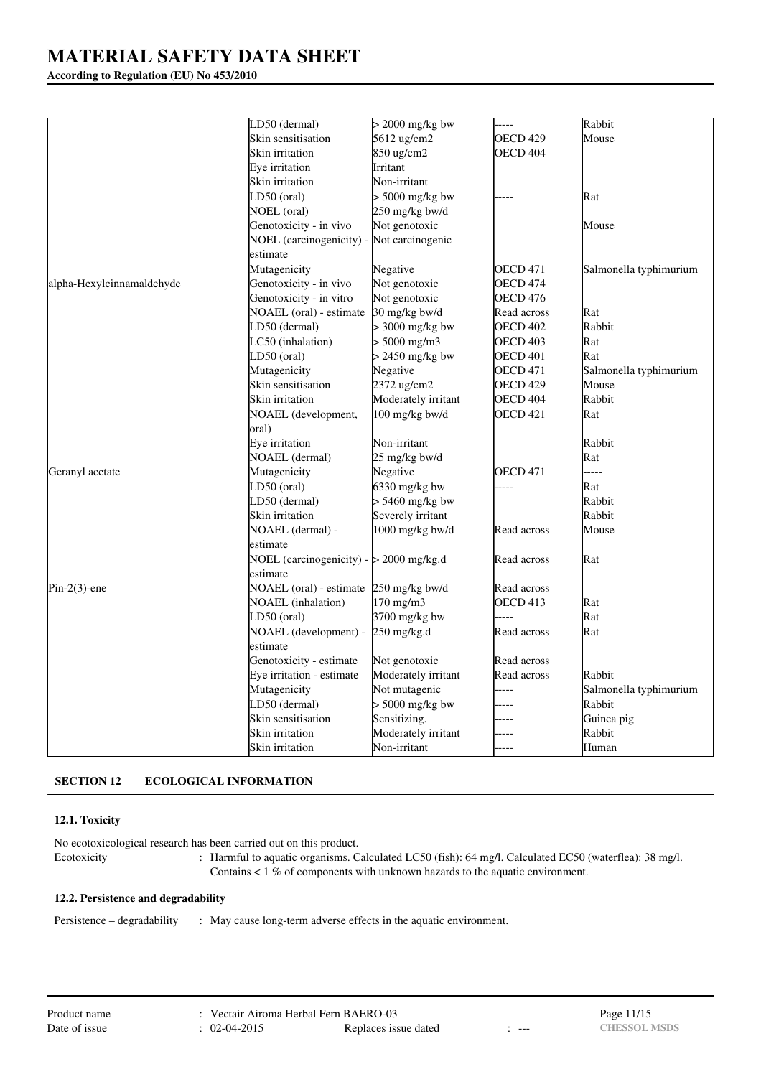# **According to Regulation (EU) No 453/2010**

|                           | LD50 (dermal)                             | $>$ 2000 mg/kg bw   | -----               | Rabbit                 |
|---------------------------|-------------------------------------------|---------------------|---------------------|------------------------|
|                           | Skin sensitisation                        | 5612 ug/cm2         | OECD 429            | Mouse                  |
|                           | Skin irritation                           | 850 ug/cm2          | OECD <sub>404</sub> |                        |
|                           | Eye irritation                            | Irritant            |                     |                        |
|                           | Skin irritation                           | Non-irritant        |                     |                        |
|                           | LD50 (oral)                               | $> 5000$ mg/kg bw   |                     | Rat                    |
|                           | NOEL (oral)                               | 250 mg/kg bw/d      |                     |                        |
|                           | Genotoxicity - in vivo                    | Not genotoxic       |                     | Mouse                  |
|                           | NOEL (carcinogenicity) -                  | Not carcinogenic    |                     |                        |
|                           | estimate                                  |                     |                     |                        |
|                           | Mutagenicity                              | Negative            | OECD 471            | Salmonella typhimurium |
| alpha-Hexylcinnamaldehyde | Genotoxicity - in vivo                    | Not genotoxic       | <b>OECD 474</b>     |                        |
|                           | Genotoxicity - in vitro                   | Not genotoxic       | OECD 476            |                        |
|                           | NOAEL (oral) - estimate                   | 30 mg/kg bw/d       | Read across         | Rat                    |
|                           | LD50 (dermal)                             | $>$ 3000 mg/kg bw   | <b>OECD 402</b>     | Rabbit                 |
|                           | LC50 (inhalation)                         | $> 5000$ mg/m3      | OECD 403            | Rat                    |
|                           | LD50 (oral)                               | > 2450 mg/kg bw     | OECD 401            | Rat                    |
|                           | Mutagenicity                              | Negative            | <b>OECD 471</b>     | Salmonella typhimurium |
|                           | Skin sensitisation                        | 2372 ug/cm2         | OECD 429            | Mouse                  |
|                           | Skin irritation                           | Moderately irritant | OECD 404            | Rabbit                 |
|                           | NOAEL (development,                       | $100$ mg/kg bw/d    | OECD <sub>421</sub> | Rat                    |
|                           | oral)                                     |                     |                     |                        |
|                           | Eye irritation                            | Non-irritant        |                     | Rabbit                 |
|                           | NOAEL (dermal)                            | 25 mg/kg bw/d       |                     | Rat                    |
| Geranyl acetate           | Mutagenicity                              | Negative            | OECD 471            | .                      |
|                           | LD50 (oral)                               | 6330 mg/kg bw       | ----                | Rat                    |
|                           | LD50 (dermal)                             | $> 5460$ mg/kg bw   |                     | Rabbit                 |
|                           | Skin irritation                           | Severely irritant   |                     | Rabbit                 |
|                           | NOAEL (dermal) -                          | 1000 mg/kg bw/d     | Read across         | Mouse                  |
|                           | estimate                                  |                     |                     |                        |
|                           | NOEL (carcinogenicity) - $> 2000$ mg/kg.d |                     | Read across         | Rat                    |
|                           | estimate                                  |                     |                     |                        |
| $Pin-2(3)$ -ene           | NOAEL (oral) - estimate                   | $250$ mg/kg bw/d    | Read across         |                        |
|                           | <b>NOAEL</b> (inhalation)                 | 170 mg/m3           | OECD 413            | Rat                    |
|                           | LD50 (oral)                               | 3700 mg/kg bw       | $---$               | Rat                    |
|                           | NOAEL (development) -                     | 250 mg/kg.d         | Read across         | Rat                    |
|                           | estimate                                  |                     |                     |                        |
|                           | Genotoxicity - estimate                   | Not genotoxic       | Read across         |                        |
|                           | Eye irritation - estimate                 | Moderately irritant | Read across         | Rabbit                 |
|                           | Mutagenicity                              | Not mutagenic       | ----                | Salmonella typhimurium |
|                           | LD50 (dermal)                             | $> 5000$ mg/kg bw   |                     | Rabbit                 |
|                           | Skin sensitisation                        | Sensitizing.        | ----                | Guinea pig             |
|                           | Skin irritation                           | Moderately irritant | ----                | Rabbit                 |
|                           | Skin irritation                           | Non-irritant        | ----                | Human                  |

# **SECTION 12 ECOLOGICAL INFORMATION**

# **12.1. Toxicity**

No ecotoxicological research has been carried out on this product. Ecotoxicity : Harmful to aquatic organisms. Calculated LC50 (fish): 64 mg/l. Calculated EC50 (waterflea): 38 mg/l. Contains < 1 % of components with unknown hazards to the aquatic environment.

#### **12.2. Persistence and degradability**

Persistence – degradability : May cause long-term adverse effects in the aquatic environment.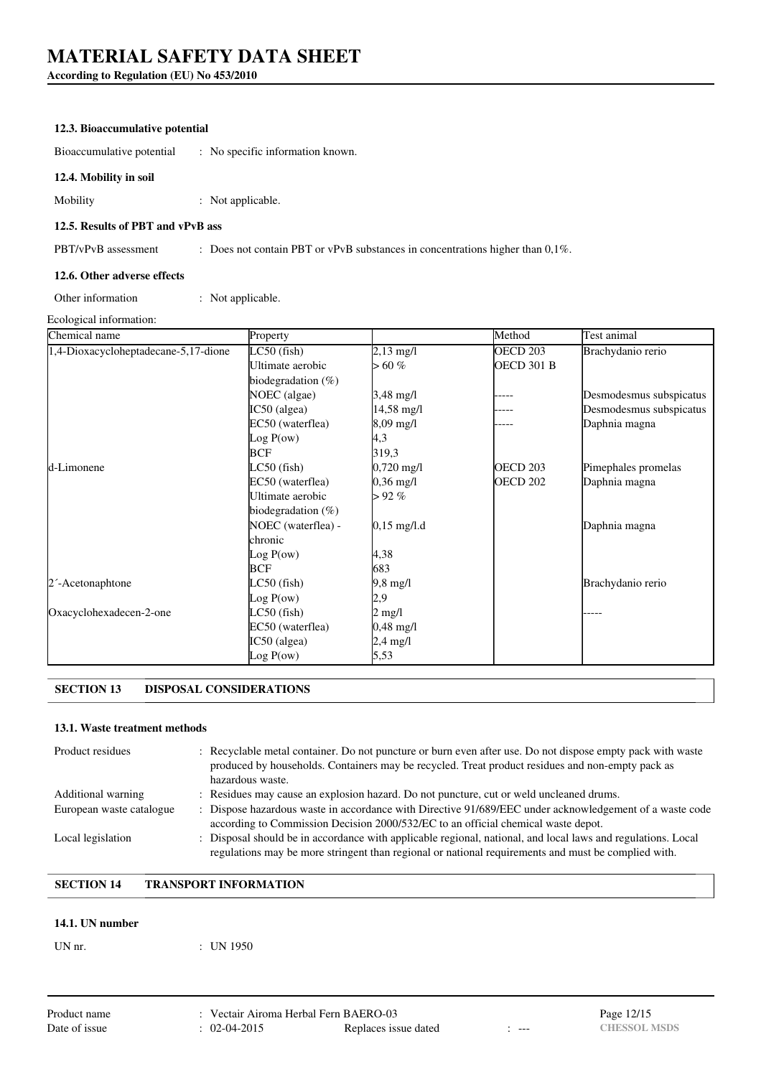# **According to Regulation (EU) No 453/2010**

### **12.3. Bioaccumulative potential**

Bioaccumulative potential : No specific information known.

### **12.4. Mobility in soil**

Mobility : Not applicable.

### **12.5. Results of PBT and vPvB ass**

PBT/vPvB assessment : Does not contain PBT or vPvB substances in concentrations higher than 0,1%.

#### **12.6. Other adverse effects**

Other information : Not applicable.

Ecological information:

| Chemical name                        | Property              |                       | Method              | Test animal             |
|--------------------------------------|-----------------------|-----------------------|---------------------|-------------------------|
| 1,4-Dioxacycloheptadecane-5,17-dione | $LC50$ (fish)         | $2,13 \text{ mg/l}$   | OECD <sub>203</sub> | Brachydanio rerio       |
|                                      | Ultimate aerobic      | $> 60\%$              | <b>OECD 301 B</b>   |                         |
|                                      | biodegradation $(\%)$ |                       |                     |                         |
|                                      | NOEC (algae)          | 3,48 mg/l             |                     | Desmodesmus subspicatus |
|                                      | $IC50$ (algea)        | 14,58 mg/l            |                     | Desmodesmus subspicatus |
|                                      | EC50 (waterflea)      | 8,09 mg/l             |                     | Daphnia magna           |
|                                      | Log P(ow)             | 4,3                   |                     |                         |
|                                      | <b>BCF</b>            | 319,3                 |                     |                         |
| d-Limonene                           | LC50 (fish)           | $0,720 \text{ mg/l}$  | OECD <sub>203</sub> | Pimephales promelas     |
|                                      | EC50 (waterflea)      | $0,36 \text{ mg/l}$   | OECD 202            | Daphnia magna           |
|                                      | Ultimate aerobic      | $> 92\%$              |                     |                         |
|                                      | biodegradation $(\%)$ |                       |                     |                         |
|                                      | NOEC (waterflea) -    | $0,15 \text{ mg/l.d}$ |                     | Daphnia magna           |
|                                      | chronic               |                       |                     |                         |
|                                      | Log P(ow)             | 4,38                  |                     |                         |
|                                      | BCF                   | 683                   |                     |                         |
| 2 <sup>-</sup> Acetonaphtone         | $LC50$ (fish)         | 9,8 mg/l              |                     | Brachydanio rerio       |
|                                      | Log P(ow)             | 2,9                   |                     |                         |
| Oxacyclohexadecen-2-one              | $LC50$ (fish)         | $2 \text{ mg/l}$      |                     |                         |
|                                      | EC50 (waterflea)      | 0,48 mg/l             |                     |                         |
|                                      | IC50 (algea)          | 2,4 mg/l              |                     |                         |
|                                      | Log P(ow)             | 5,53                  |                     |                         |

# **SECTION 13 DISPOSAL CONSIDERATIONS**

#### **13.1. Waste treatment methods**

| Product residues         | : Recyclable metal container. Do not puncture or burn even after use. Do not dispose empty pack with waste<br>produced by households. Containers may be recycled. Treat product residues and non-empty pack as<br>hazardous waste. |
|--------------------------|------------------------------------------------------------------------------------------------------------------------------------------------------------------------------------------------------------------------------------|
| Additional warning       | : Residues may cause an explosion hazard. Do not puncture, cut or weld uncleaned drums.                                                                                                                                            |
| European waste catalogue | : Dispose hazardous waste in accordance with Directive 91/689/EEC under acknowledgement of a waste code<br>according to Commission Decision 2000/532/EC to an official chemical waste depot.                                       |
| Local legislation        | : Disposal should be in accordance with applicable regional, national, and local laws and regulations. Local<br>regulations may be more stringent than regional or national requirements and must be complied with.                |

# **SECTION 14 TRANSPORT INFORMATION**

### **14.1. UN number**

| UN nr. |  |  |  |
|--------|--|--|--|
|--------|--|--|--|

 $:$  UN 1950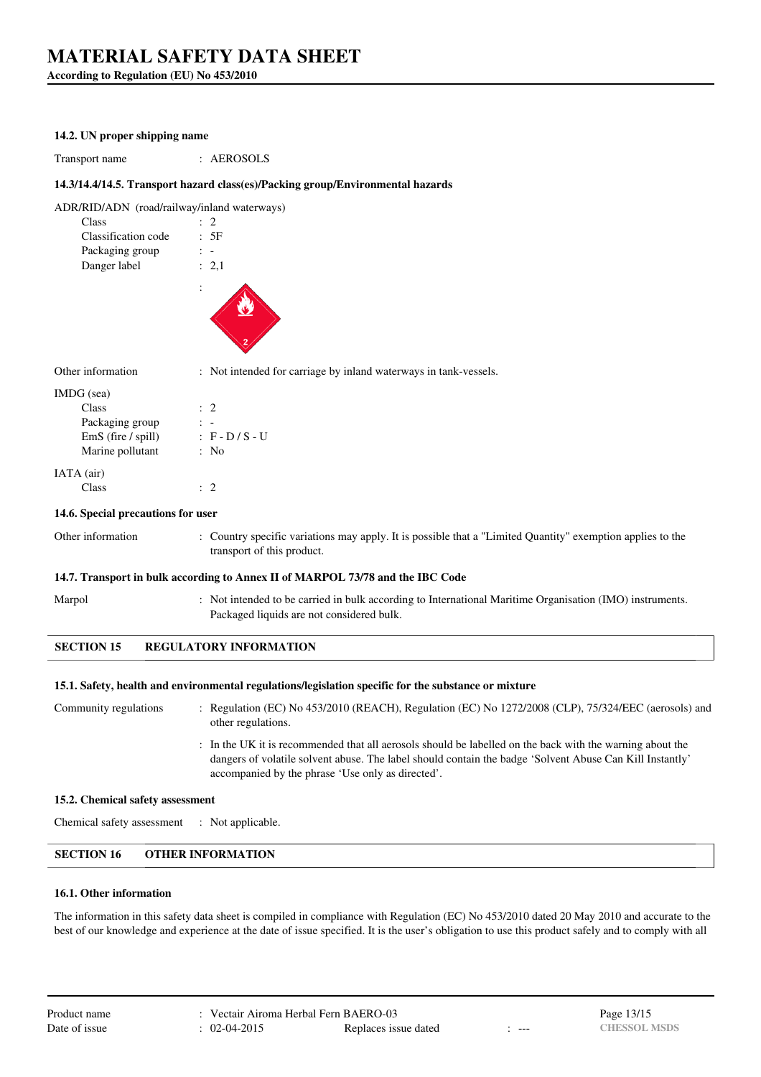**According to Regulation (EU) No 453/2010**

#### **14.2. UN proper shipping name**

Transport name : AEROSOLS

### **14.3/14.4/14.5. Transport hazard class(es)/Packing group/Environmental hazards**

| ADR/RID/ADN (road/railway/inland waterways) |           |
|---------------------------------------------|-----------|
| Class                                       | $\cdot$ 2 |
| Classification code                         | : 5F      |
| Packaging group                             |           |
| Danger label                                | : 2.1     |
|                                             |           |
|                                             |           |

Other information : Not intended for carriage by inland waterways in tank-vessels.

| IMDG (sea)         |                   |
|--------------------|-------------------|
| Class              | $\therefore$ 2    |
| Packaging group    |                   |
| EmS (fire / spill) | $: F - D / S - U$ |
| Marine pollutant   | : No              |
| IATA (air)         |                   |
| Class              |                   |

#### **14.6. Special precautions for user**

Other information : Country specific variations may apply. It is possible that a "Limited Quantity" exemption applies to the transport of this product.

#### **14.7. Transport in bulk according to Annex II of MARPOL 73/78 and the IBC Code**

Marpol : Not intended to be carried in bulk according to International Maritime Organisation (IMO) instruments.

**SECTION 15 REGULATORY INFORMATION**

#### **15.1. Safety, health and environmental regulations/legislation specific for the substance or mixture**

Packaged liquids are not considered bulk.

Community regulations : Regulation (EC) No 453/2010 (REACH), Regulation (EC) No 1272/2008 (CLP), 75/324/EEC (aerosols) and other regulations.

> : In the UK it is recommended that all aerosols should be labelled on the back with the warning about the dangers of volatile solvent abuse. The label should contain the badge 'Solvent Abuse Can Kill Instantly' accompanied by the phrase 'Use only as directed'.

#### **15.2. Chemical safety assessment**

Chemical safety assessment : Not applicable.

### **SECTION 16 OTHER INFORMATION**

#### **16.1. Other information**

The information in this safety data sheet is compiled in compliance with Regulation (EC) No 453/2010 dated 20 May 2010 and accurate to the best of our knowledge and experience at the date of issue specified. It is the user's obligation to use this product safely and to comply with all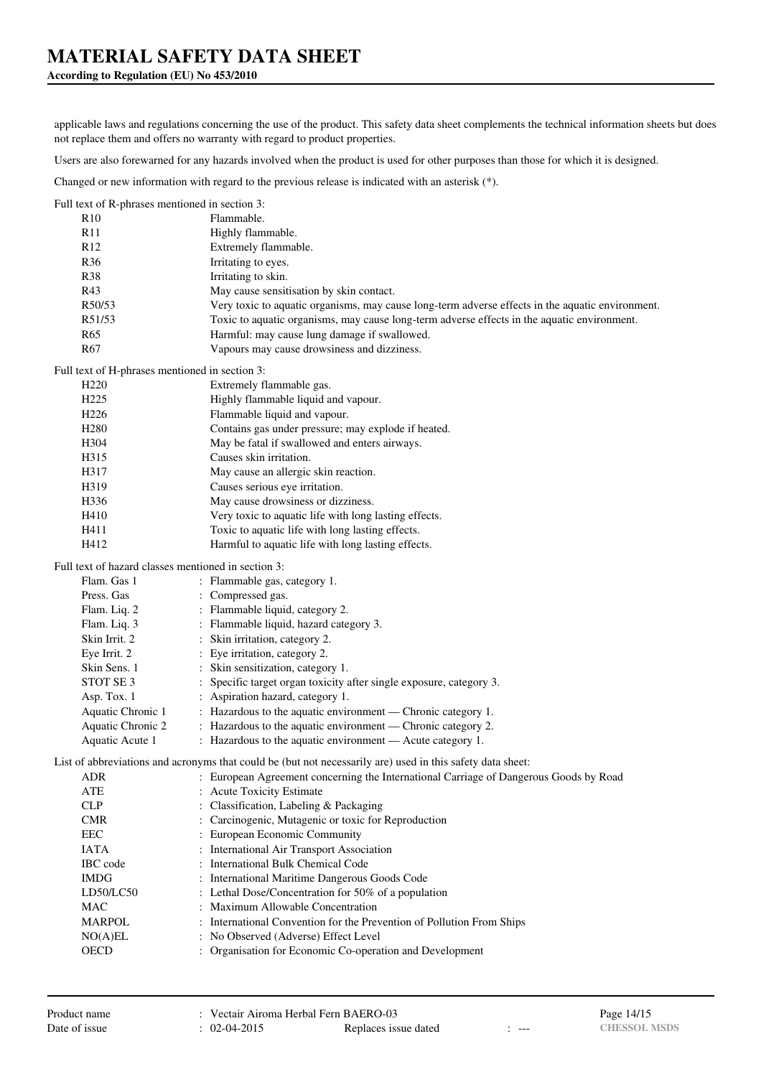# **According to Regulation (EU) No 453/2010**

applicable laws and regulations concerning the use of the product. This safety data sheet complements the technical information sheets but does not replace them and offers no warranty with regard to product properties.

Users are also forewarned for any hazards involved when the product is used for other purposes than those for which it is designed.

Changed or new information with regard to the previous release is indicated with an asterisk (\*).

| Full text of R-phrases mentioned in section 3:      |                                                                                                            |
|-----------------------------------------------------|------------------------------------------------------------------------------------------------------------|
| R <sub>10</sub>                                     | Flammable.                                                                                                 |
| R11                                                 | Highly flammable.                                                                                          |
| R <sub>12</sub>                                     | Extremely flammable.                                                                                       |
| R36                                                 | Irritating to eyes.                                                                                        |
| R38                                                 | Irritating to skin.                                                                                        |
| R43                                                 | May cause sensitisation by skin contact.                                                                   |
| R50/53                                              | Very toxic to aquatic organisms, may cause long-term adverse effects in the aquatic environment.           |
| R51/53                                              | Toxic to aquatic organisms, may cause long-term adverse effects in the aquatic environment.                |
| R <sub>65</sub>                                     | Harmful: may cause lung damage if swallowed.                                                               |
| R <sub>67</sub>                                     | Vapours may cause drowsiness and dizziness.                                                                |
| Full text of H-phrases mentioned in section 3:      |                                                                                                            |
| H <sub>220</sub>                                    | Extremely flammable gas.                                                                                   |
| H <sub>225</sub>                                    | Highly flammable liquid and vapour.                                                                        |
| H <sub>226</sub>                                    | Flammable liquid and vapour.                                                                               |
| H <sub>280</sub>                                    | Contains gas under pressure; may explode if heated.                                                        |
| H <sub>304</sub>                                    | May be fatal if swallowed and enters airways.                                                              |
| H315                                                | Causes skin irritation.                                                                                    |
| H317                                                | May cause an allergic skin reaction.                                                                       |
| H319                                                | Causes serious eye irritation.                                                                             |
| H336                                                | May cause drowsiness or dizziness.                                                                         |
| H410                                                | Very toxic to aquatic life with long lasting effects.                                                      |
| H411                                                | Toxic to aquatic life with long lasting effects.                                                           |
| H412                                                | Harmful to aquatic life with long lasting effects.                                                         |
|                                                     |                                                                                                            |
| Full text of hazard classes mentioned in section 3: |                                                                                                            |
| Flam. Gas 1                                         | : Flammable gas, category 1.                                                                               |
| Press. Gas                                          | : Compressed gas.                                                                                          |
| Flam. Liq. 2                                        | : Flammable liquid, category 2.                                                                            |
| Flam. Liq. 3                                        | : Flammable liquid, hazard category 3.                                                                     |
| Skin Irrit. 2                                       | Skin irritation, category 2.                                                                               |
| Eye Irrit. 2                                        | : Eye irritation, category 2.                                                                              |
| Skin Sens. 1                                        | : Skin sensitization, category 1.                                                                          |
| STOT SE 3                                           | : Specific target organ toxicity after single exposure, category 3.                                        |
| Asp. Tox. 1                                         | : Aspiration hazard, category 1.                                                                           |
| Aquatic Chronic 1                                   | : Hazardous to the aquatic environment - Chronic category 1.                                               |
| Aquatic Chronic 2                                   | : Hazardous to the aquatic environment - Chronic category 2.                                               |
| Aquatic Acute 1                                     | : Hazardous to the aquatic environment - Acute category 1.                                                 |
|                                                     | List of abbreviations and acronyms that could be (but not necessarily are) used in this safety data sheet: |
| <b>ADR</b>                                          | European Agreement concerning the International Carriage of Dangerous Goods by Road                        |
| ATE                                                 | <b>Acute Toxicity Estimate</b>                                                                             |
| CLP                                                 | Classification, Labeling & Packaging                                                                       |
| <b>CMR</b>                                          | Carcinogenic, Mutagenic or toxic for Reproduction                                                          |
| EEC                                                 | European Economic Community                                                                                |
| <b>IATA</b>                                         | International Air Transport Association                                                                    |
| IBC code                                            | International Bulk Chemical Code                                                                           |
| <b>IMDG</b>                                         | : International Maritime Dangerous Goods Code                                                              |
| LD50/LC50                                           | : Lethal Dose/Concentration for 50% of a population                                                        |
| <b>MAC</b>                                          | Maximum Allowable Concentration                                                                            |
| <b>MARPOL</b>                                       | : International Convention for the Prevention of Pollution From Ships                                      |
| NO(A)EL                                             | : No Observed (Adverse) Effect Level                                                                       |
| <b>OECD</b>                                         | : Organisation for Economic Co-operation and Development                                                   |
|                                                     |                                                                                                            |